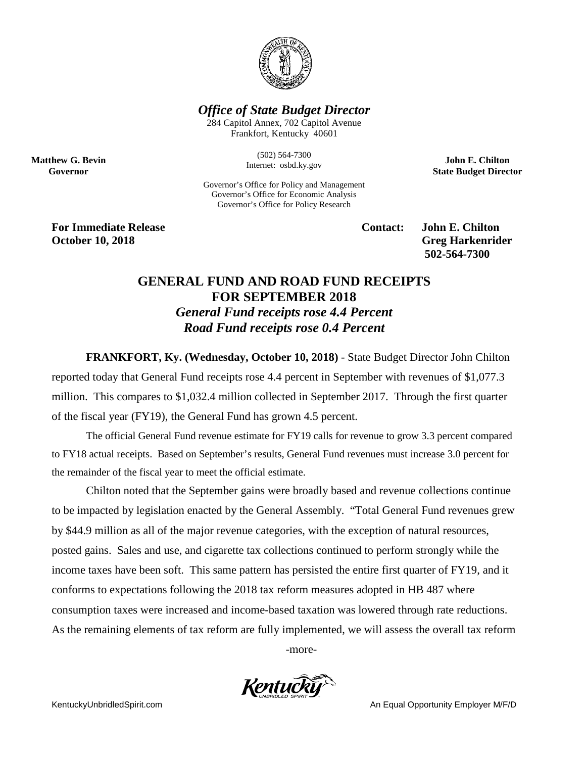

## *Office of State Budget Director*

284 Capitol Annex, 702 Capitol Avenue Frankfort, Kentucky 40601

> (502) 564-7300 Internet: osbd.ky.gov

Governor's Office for Policy and Management Governor's Office for Economic Analysis Governor's Office for Policy Research

**John E. Chilton State Budget Director**

**For Immediate Release Contact: John E. Chilton October 10, 2018** Greg Harkenrider

**Matthew G. Bevin Governor**

**502-564-7300** 

## **GENERAL FUND AND ROAD FUND RECEIPTS FOR SEPTEMBER 2018** *General Fund receipts rose 4.4 Percent Road Fund receipts rose 0.4 Percent*

**FRANKFORT, Ky. (Wednesday, October 10, 2018)** - State Budget Director John Chilton reported today that General Fund receipts rose 4.4 percent in September with revenues of \$1,077.3 million. This compares to \$1,032.4 million collected in September 2017. Through the first quarter of the fiscal year (FY19), the General Fund has grown 4.5 percent.

The official General Fund revenue estimate for FY19 calls for revenue to grow 3.3 percent compared to FY18 actual receipts. Based on September's results, General Fund revenues must increase 3.0 percent for the remainder of the fiscal year to meet the official estimate.

Chilton noted that the September gains were broadly based and revenue collections continue to be impacted by legislation enacted by the General Assembly. "Total General Fund revenues grew by \$44.9 million as all of the major revenue categories, with the exception of natural resources, posted gains. Sales and use, and cigarette tax collections continued to perform strongly while the income taxes have been soft. This same pattern has persisted the entire first quarter of FY19, and it conforms to expectations following the 2018 tax reform measures adopted in HB 487 where consumption taxes were increased and income-based taxation was lowered through rate reductions. As the remaining elements of tax reform are fully implemented, we will assess the overall tax reform

-more-

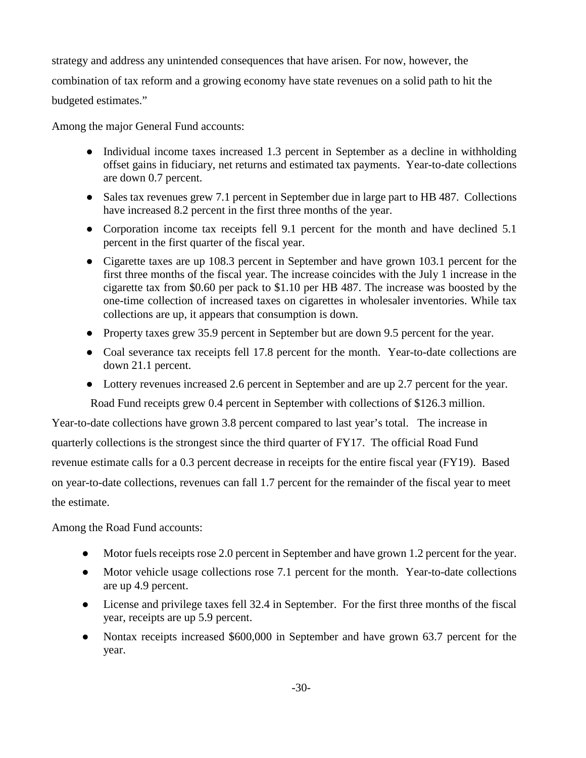strategy and address any unintended consequences that have arisen. For now, however, the combination of tax reform and a growing economy have state revenues on a solid path to hit the budgeted estimates."

Among the major General Fund accounts:

- Individual income taxes increased 1.3 percent in September as a decline in withholding offset gains in fiduciary, net returns and estimated tax payments. Year-to-date collections are down 0.7 percent.
- Sales tax revenues grew 7.1 percent in September due in large part to HB 487. Collections have increased 8.2 percent in the first three months of the year.
- Corporation income tax receipts fell 9.1 percent for the month and have declined 5.1 percent in the first quarter of the fiscal year.
- Cigarette taxes are up 108.3 percent in September and have grown 103.1 percent for the first three months of the fiscal year. The increase coincides with the July 1 increase in the cigarette tax from \$0.60 per pack to \$1.10 per HB 487. The increase was boosted by the one-time collection of increased taxes on cigarettes in wholesaler inventories. While tax collections are up, it appears that consumption is down.
- Property taxes grew 35.9 percent in September but are down 9.5 percent for the year.
- Coal severance tax receipts fell 17.8 percent for the month. Year-to-date collections are down 21.1 percent.
- Lottery revenues increased 2.6 percent in September and are up 2.7 percent for the year. Road Fund receipts grew 0.4 percent in September with collections of \$126.3 million.

Year-to-date collections have grown 3.8 percent compared to last year's total. The increase in quarterly collections is the strongest since the third quarter of FY17. The official Road Fund revenue estimate calls for a 0.3 percent decrease in receipts for the entire fiscal year (FY19). Based on year-to-date collections, revenues can fall 1.7 percent for the remainder of the fiscal year to meet the estimate.

Among the Road Fund accounts:

- Motor fuels receipts rose 2.0 percent in September and have grown 1.2 percent for the year.
- Motor vehicle usage collections rose 7.1 percent for the month. Year-to-date collections are up 4.9 percent.
- License and privilege taxes fell 32.4 in September. For the first three months of the fiscal year, receipts are up 5.9 percent.
- Nontax receipts increased \$600,000 in September and have grown 63.7 percent for the year.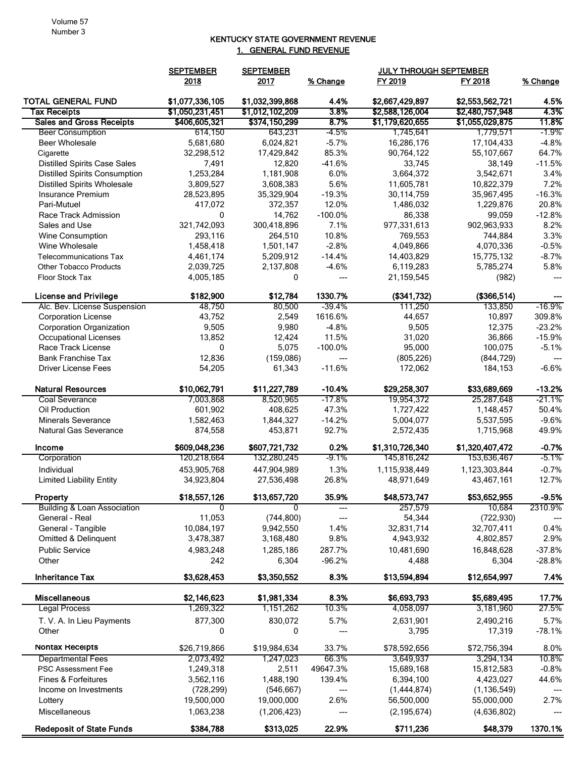## KENTUCKY STATE GOVERNMENT REVENUE 1. GENERAL FUND REVENUE

|                                        | <b>SEPTEMBER</b> | <b>SEPTEMBER</b> |           | <b>JULY THROUGH SEPTEMBER</b> |                 |          |
|----------------------------------------|------------------|------------------|-----------|-------------------------------|-----------------|----------|
|                                        | 2018             | 2017             | % Change  | FY 2019                       | FY 2018         | % Change |
| <b>TOTAL GENERAL FUND</b>              | \$1,077,336,105  | \$1,032,399,868  | 4.4%      | \$2,667,429,897               | \$2,553,562,721 | 4.5%     |
| <b>Tax Receipts</b>                    | \$1,050,231,451  | \$1,012,102,209  | 3.8%      | \$2,588,126,004               | \$2,480,757,948 | 4.3%     |
| <b>Sales and Gross Receipts</b>        | \$406,605,321    | \$374,150,299    | 8.7%      | \$1,179,620,655               | \$1,055,029,875 | 11.8%    |
| <b>Beer Consumption</b>                | 614,150          | 643,231          | $-4.5%$   | 1,745,641                     | 1,779,571       | $-1.9\%$ |
| <b>Beer Wholesale</b>                  | 5,681,680        | 6,024,821        | $-5.7%$   | 16,286,176                    | 17,104,433      | $-4.8%$  |
| Cigarette                              | 32,298,512       | 17,429,842       | 85.3%     | 90,764,122                    | 55,107,667      | 64.7%    |
| <b>Distilled Spirits Case Sales</b>    | 7,491            | 12,820           | $-41.6%$  | 33,745                        | 38,149          | $-11.5%$ |
| <b>Distilled Spirits Consumption</b>   | 1,253,284        | 1,181,908        | 6.0%      | 3,664,372                     | 3,542,671       | 3.4%     |
| <b>Distilled Spirits Wholesale</b>     | 3,809,527        | 3,608,383        | 5.6%      | 11,605,781                    | 10,822,379      | 7.2%     |
| Insurance Premium                      | 28,523,895       | 35,329,904       | $-19.3%$  | 30,114,759                    | 35,967,495      | $-16.3%$ |
| Pari-Mutuel                            | 417,072          | 372,357          | 12.0%     | 1,486,032                     | 1,229,876       | 20.8%    |
| Race Track Admission                   | 0                | 14,762           | $-100.0%$ | 86,338                        | 99,059          | $-12.8%$ |
| Sales and Use                          | 321,742,093      | 300,418,896      | 7.1%      | 977,331,613                   | 902,963,933     | 8.2%     |
| Wine Consumption                       | 293,116          | 264,510          | 10.8%     | 769,553                       | 744,884         | 3.3%     |
| Wine Wholesale                         | 1,458,418        | 1,501,147        | $-2.8%$   | 4,049,866                     | 4,070,336       | $-0.5%$  |
| <b>Telecommunications Tax</b>          | 4,461,174        | 5,209,912        | $-14.4%$  | 14,403,829                    | 15,775,132      | $-8.7%$  |
| <b>Other Tobacco Products</b>          | 2,039,725        | 2,137,808        | $-4.6%$   | 6,119,283                     | 5,785,274       | 5.8%     |
| <b>Floor Stock Tax</b>                 | 4,005,185        | 0                | ---       | 21,159,545                    | (982)           | ---      |
| <b>License and Privilege</b>           | \$182,900        | \$12,784         | 1330.7%   | (\$341,732)                   | (\$366,514)     |          |
| Alc. Bev. License Suspension           | 48,750           | 80,500           | $-39.4%$  | 111,250                       | 133,850         | -16.9%   |
| <b>Corporation License</b>             | 43,752           | 2,549            | 1616.6%   | 44,657                        | 10,897          | 309.8%   |
| <b>Corporation Organization</b>        | 9,505            | 9,980            | $-4.8%$   | 9,505                         | 12,375          | $-23.2%$ |
| <b>Occupational Licenses</b>           | 13,852           | 12,424           | 11.5%     | 31,020                        | 36,866          | $-15.9%$ |
| Race Track License                     | 0                | 5,075            | $-100.0%$ | 95,000                        | 100,075         | $-5.1%$  |
| <b>Bank Franchise Tax</b>              | 12,836           | (159,086)        | ---       | (805, 226)                    | (844, 729)      |          |
| <b>Driver License Fees</b>             | 54,205           | 61,343           | $-11.6%$  | 172,062                       | 184,153         | $-6.6%$  |
| <b>Natural Resources</b>               | \$10,062,791     | \$11,227,789     | $-10.4%$  | \$29,258,307                  | \$33,689,669    | $-13.2%$ |
| <b>Coal Severance</b>                  | 7,003,868        | 8,520,965        | $-17.8%$  | 19,954,372                    | 25,287,648      | -21.1%   |
| Oil Production                         | 601,902          | 408,625          | 47.3%     | 1,727,422                     | 1,148,457       | 50.4%    |
| <b>Minerals Severance</b>              | 1,582,463        | 1,844,327        | $-14.2%$  | 5,004,077                     | 5,537,595       | $-9.6%$  |
| <b>Natural Gas Severance</b>           | 874,558          | 453,871          | 92.7%     | 2,572,435                     | 1,715,968       | 49.9%    |
| Income                                 | \$609,048,236    | \$607,721,732    | 0.2%      | \$1,310,726,340               | \$1,320,407,472 | $-0.7%$  |
| Corporation                            | 120,218,664      | 132,280,245      | $-9.1%$   | 145,816,242                   | 153,636,467     | $-5.1\%$ |
| Individual                             | 453,905,768      | 447,904,989      | 1.3%      | 1,115,938,449                 | 1,123,303,844   | $-0.7%$  |
| <b>Limited Liability Entity</b>        | 34,923,804       | 27,536,498       | 26.8%     | 48,971,649                    | 43,467,161      | 12.7%    |
| Property                               | \$18,557,126     | \$13,657,720     | 35.9%     | \$48,573,747                  | \$53,652,955    | -9.5%    |
| <b>Building &amp; Loan Association</b> | $\Omega$         | 0                | ---       | 257,579                       | 10,684          | 2310.9%  |
| General - Real                         | 11,053           | (744, 800)       | ---       | 54,344                        | (722, 930)      |          |
| General - Tangible                     | 10,084,197       | 9,942,550        | 1.4%      | 32,831,714                    | 32,707,411      | 0.4%     |
| Omitted & Delinquent                   | 3,478,387        | 3,168,480        | 9.8%      | 4,943,932                     | 4,802,857       | 2.9%     |
| <b>Public Service</b>                  | 4,983,248        | 1,285,186        | 287.7%    | 10,481,690                    | 16,848,628      | $-37.8%$ |
| Other                                  | 242              | 6,304            | $-96.2%$  | 4,488                         | 6,304           | $-28.8%$ |
| <b>Inheritance Tax</b>                 | \$3,628,453      | \$3,350,552      | 8.3%      | \$13,594,894                  | \$12,654,997    | 7.4%     |
| <b>Miscellaneous</b>                   | \$2,146,623      | \$1,981,334      | 8.3%      | \$6,693,793                   | \$5,689,495     | 17.7%    |
| <b>Legal Process</b>                   | 1,269,322        | 1,151,262        | 10.3%     | 4,058,097                     | 3,181,960       | 27.5%    |
| T. V. A. In Lieu Payments              | 877,300          | 830,072          | 5.7%      | 2,631,901                     | 2,490,216       | 5.7%     |
| Other                                  | 0                | 0                | ---       | 3,795                         | 17,319          | $-78.1%$ |
| Nontax Receipts                        | \$26,719,866     | \$19,984,634     | 33.7%     | \$78,592,656                  | \$72,756,394    | 8.0%     |
| <b>Departmental Fees</b>               | 2,073,492        | 1,247,023        | 66.3%     | 3,649,937                     | 3,294,134       | 10.8%    |
| <b>PSC Assessment Fee</b>              | 1,249,318        | 2,511            | 49647.3%  | 15,689,168                    | 15,812,583      | $-0.8%$  |
| Fines & Forfeitures                    | 3,562,116        | 1,488,190        | 139.4%    | 6,394,100                     | 4,423,027       | 44.6%    |
| Income on Investments                  | (728, 299)       | (546, 667)       | ---       | (1,444,874)                   | (1, 136, 549)   |          |
| Lottery                                | 19,500,000       | 19,000,000       | 2.6%      | 56,500,000                    | 55,000,000      | 2.7%     |
| Miscellaneous                          | 1,063,238        | (1,206,423)      |           | (2, 195, 674)                 | (4,636,802)     |          |
| <b>Redeposit of State Funds</b>        | \$384,788        | \$313,025        | 22.9%     | \$711,236                     | \$48,379        | 1370.1%  |